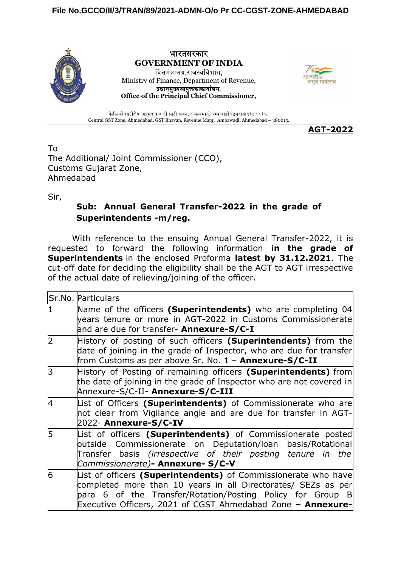

भारतसरकार **GOVERNMENT OF INDIA** वित्तमंत्रालय,राजस्वविभाग, Ministry of Finance, Department of Revenue, प्रधानमुख्यआयुक्तकाकार्यालय, **Office of the Principal Chief Commissioner,**



केंद्रीयजीएसटीक्षेत्र, अहमदाबाद,जीएसटी भवन, राजस्वमार्ग, अम्बावाड़ीअहमदाबाद३८००१५. Central GST Zone, Ahmedabad, GST Bhavan, Revenue Marg, Ambawadi, Ahmedabad – 380015.

**AGT-2022**

To The Additional/ Joint Commissioner (CCO), Customs Gujarat Zone, Ahmedabad

Sir,

## **Sub: Annual General Transfer-2022 in the grade of Superintendents -m/reg.**

With reference to the ensuing Annual General Transfer-2022, it is requested to forward the following information **in the grade of Superintendents** in the enclosed Proforma **latest by 31.12.2021**. The cut-off date for deciding the eligibility shall be the AGT to AGT irrespective of the actual date of relieving/joining of the officer.

|                | Sr.No. Particulars                                                                                                                                                                                                                                           |
|----------------|--------------------------------------------------------------------------------------------------------------------------------------------------------------------------------------------------------------------------------------------------------------|
|                | Name of the officers (Superintendents) who are completing 04<br>years tenure or more in AGT-2022 in Customs Commissionerate<br>and are due for transfer- Annexure-S/C-I                                                                                      |
| $\overline{2}$ | History of posting of such officers (Superintendents) from the<br>date of joining in the grade of Inspector, who are due for transfer<br>from Customs as per above Sr. No. 1 - <b>Annexure-S/C-II</b>                                                        |
| 3              | History of Posting of remaining officers (Superintendents) from<br>the date of joining in the grade of Inspector who are not covered in<br>Annexure-S/C-II- Annexure-S/C-III                                                                                 |
| $\overline{4}$ | List of Officers (Superintendents) of Commissionerate who are<br>not clear from Vigilance angle and are due for transfer in AGT-<br>2022- Annexure-S/C-IV                                                                                                    |
| $\overline{5}$ | List of officers (Superintendents) of Commissionerate posted<br>outside Commissionerate on Deputation/Ioan basis/Rotational<br>Transfer basis (irrespective of their posting tenure in the<br>Commissionerate)- Annexure- S/C-V                              |
| 6              | List of officers (Superintendents) of Commissionerate who have<br>completed more than 10 years in all Directorates/ SEZs as per<br>para 6 of the Transfer/Rotation/Posting Policy for Group B<br>Executive Officers, 2021 of CGST Ahmedabad Zone - Annexure- |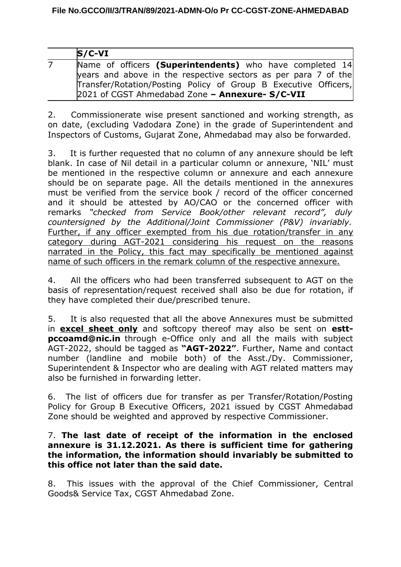| $S/C-VI$                                                        |
|-----------------------------------------------------------------|
| Name of officers (Superintendents) who have completed 14        |
| years and above in the respective sectors as per para 7 of the  |
| Transfer/Rotation/Posting Policy of Group B Executive Officers, |
| 2021 of CGST Ahmedabad Zone - Annexure- S/C-VII                 |

2. Commissionerate wise present sanctioned and working strength, as on date, (excluding Vadodara Zone) in the grade of Superintendent and Inspectors of Customs, Gujarat Zone, Ahmedabad may also be forwarded.

3. It is further requested that no column of any annexure should be left blank. In case of Nil detail in a particular column or annexure, 'NIL' must be mentioned in the respective column or annexure and each annexure should be on separate page. All the details mentioned in the annexures must be verified from the service book / record of the officer concerned and it should be attested by AO/CAO or the concerned officer with remarks *"checked from Service Book/other relevant record", duly countersigned by the Additional/Joint Commissioner (P&V) invariably.* Further, if any officer exempted from his due rotation/transfer in any category during AGT-2021 considering his request on the reasons narrated in the Policy, this fact may specifically be mentioned against name of such officers in the remark column of the respective annexure.

4. All the officers who had been transferred subsequent to AGT on the basis of representation/request received shall also be due for rotation, if they have completed their due/prescribed tenure.

5. It is also requested that all the above Annexures must be submitted in **excel sheet only** and softcopy thereof may also be sent on **esttpccoamd@nic.in** through e-Office only and all the mails with subject AGT-2022, should be tagged as **"AGT-2022"**. Further, Name and contact number (landline and mobile both) of the Asst./Dy. Commissioner, Superintendent & Inspector who are dealing with AGT related matters may also be furnished in forwarding letter.

6. The list of officers due for transfer as per Transfer/Rotation/Posting Policy for Group B Executive Officers, 2021 issued by CGST Ahmedabad Zone should be weighted and approved by respective Commissioner.

## 7. **The last date of receipt of the information in the enclosed annexure is 31.12.2021. As there is sufficient time for gathering the information, the information should invariably be submitted to this office not later than the said date.**

8. This issues with the approval of the Chief Commissioner, Central Goods& Service Tax, CGST Ahmedabad Zone.